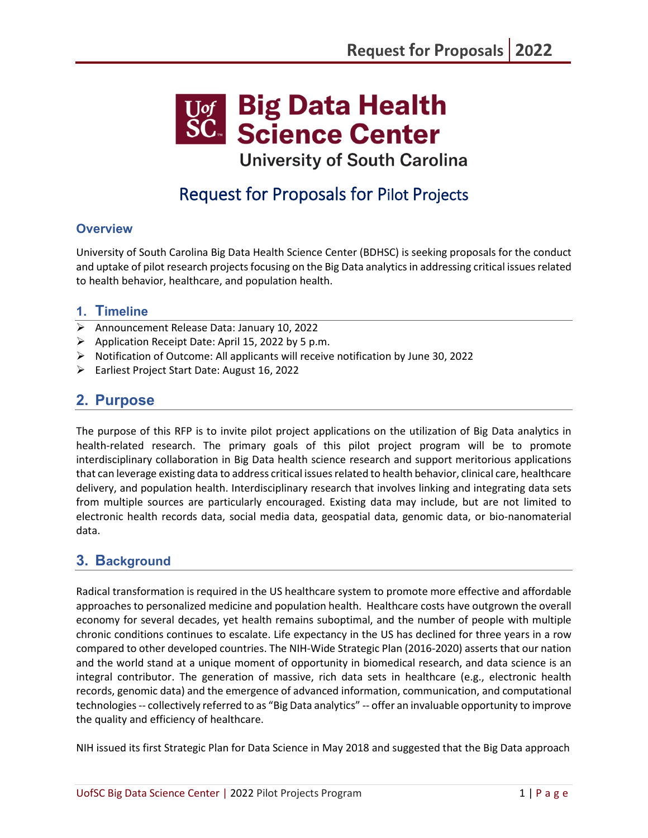

**University of South Carolina** 

# Request for Proposals for Pilot Projects

# **Overview**

University of South Carolina Big Data Health Science Center (BDHSC) is seeking proposals for the conduct and uptake of pilot research projects focusing on the Big Data analytics in addressing critical issues related to health behavior, healthcare, and population health.

## **1. Timeline**

- $\triangleright$  Announcement Release Data: January 10, 2022
- $\triangleright$  Application Receipt Date: April 15, 2022 by 5 p.m.
- $\triangleright$  Notification of Outcome: All applicants will receive notification by June 30, 2022
- Earliest Project Start Date: August 16, 2022

# **2. Purpose**

The purpose of this RFP is to invite pilot project applications on the utilization of Big Data analytics in health-related research. The primary goals of this pilot project program will be to promote interdisciplinary collaboration in Big Data health science research and support meritorious applications that can leverage existing data to address critical issues related to health behavior, clinical care, healthcare delivery, and population health. Interdisciplinary research that involves linking and integrating data sets from multiple sources are particularly encouraged. Existing data may include, but are not limited to electronic health records data, social media data, geospatial data, genomic data, or bio-nanomaterial data.

# **3. Background**

Radical transformation is required in the US healthcare system to promote more effective and affordable approaches to personalized medicine and population health. Healthcare costs have outgrown the overall economy for several decades, yet health remains suboptimal, and the number of people with multiple chronic conditions continues to escalate. Life expectancy in the US has declined for three years in a row compared to other developed countries. The NIH-Wide Strategic Plan (2016-2020) asserts that our nation and the world stand at a unique moment of opportunity in biomedical research, and data science is an integral contributor. The generation of massive, rich data sets in healthcare (e.g., electronic health records, genomic data) and the emergence of advanced information, communication, and computational technologies -- collectively referred to as "Big Data analytics" -- offer an invaluable opportunity to improve the quality and efficiency of healthcare.

NIH issued its first Strategic Plan for Data Science in May 2018 and suggested that the Big Data approach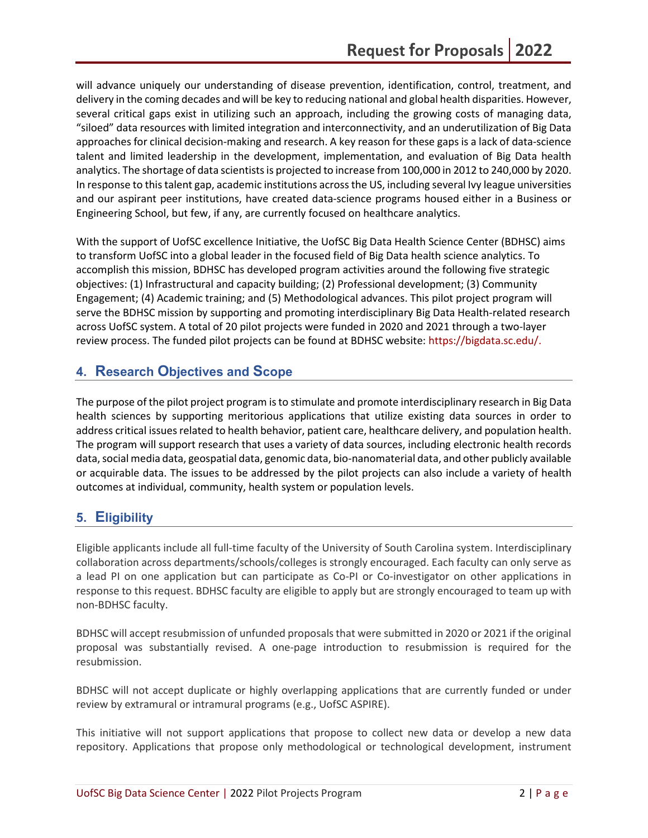will advance uniquely our understanding of disease prevention, identification, control, treatment, and delivery in the coming decades and will be key to reducing national and global health disparities. However, several critical gaps exist in utilizing such an approach, including the growing costs of managing data, "siloed" data resources with limited integration and interconnectivity, and an underutilization of Big Data approaches for clinical decision-making and research. A key reason for these gaps is a lack of data-science talent and limited leadership in the development, implementation, and evaluation of Big Data health analytics. The shortage of data scientists is projected to increase from 100,000 in 2012 to 240,000 by 2020. In response to this talent gap, academic institutions across the US, including several Ivy league universities and our aspirant peer institutions, have created data-science programs housed either in a Business or Engineering School, but few, if any, are currently focused on healthcare analytics.

With the support of UofSC excellence Initiative, the UofSC Big Data Health Science Center (BDHSC) aims to transform UofSC into a global leader in the focused field of Big Data health science analytics. To accomplish this mission, BDHSC has developed program activities around the following five strategic objectives: (1) Infrastructural and capacity building; (2) Professional development; (3) Community Engagement; (4) Academic training; and (5) Methodological advances. This pilot project program will serve the BDHSC mission by supporting and promoting interdisciplinary Big Data Health-related research across UofSC system. A total of 20 pilot projects were funded in 2020 and 2021 through a two-layer review process. The funded pilot projects can be found at BDHSC website: [https://bigdata.sc.edu/.](https://bigdata.sc.edu/)

## **4. Research Objectives and Scope**

The purpose of the pilot project program is to stimulate and promote interdisciplinary research in Big Data health sciences by supporting meritorious applications that utilize existing data sources in order to address critical issues related to health behavior, patient care, healthcare delivery, and population health. The program will support research that uses a variety of data sources, including electronic health records data, social media data, geospatial data, genomic data, bio-nanomaterial data, and other publicly available or acquirable data. The issues to be addressed by the pilot projects can also include a variety of health outcomes at individual, community, health system or population levels.

## **5. Eligibility**

Eligible applicants include all full-time faculty of the University of South Carolina system. Interdisciplinary collaboration across departments/schools/colleges is strongly encouraged. Each faculty can only serve as a lead PI on one application but can participate as Co-PI or Co-investigator on other applications in response to this request. BDHSC faculty are eligible to apply but are strongly encouraged to team up with non-BDHSC faculty.

BDHSC will accept resubmission of unfunded proposals that were submitted in 2020 or 2021 if the original proposal was substantially revised. A one-page introduction to resubmission is required for the resubmission.

BDHSC will not accept duplicate or highly overlapping applications that are currently funded or under review by extramural or intramural programs (e.g., UofSC ASPIRE).

This initiative will not support applications that propose to collect new data or develop a new data repository. Applications that propose only methodological or technological development, instrument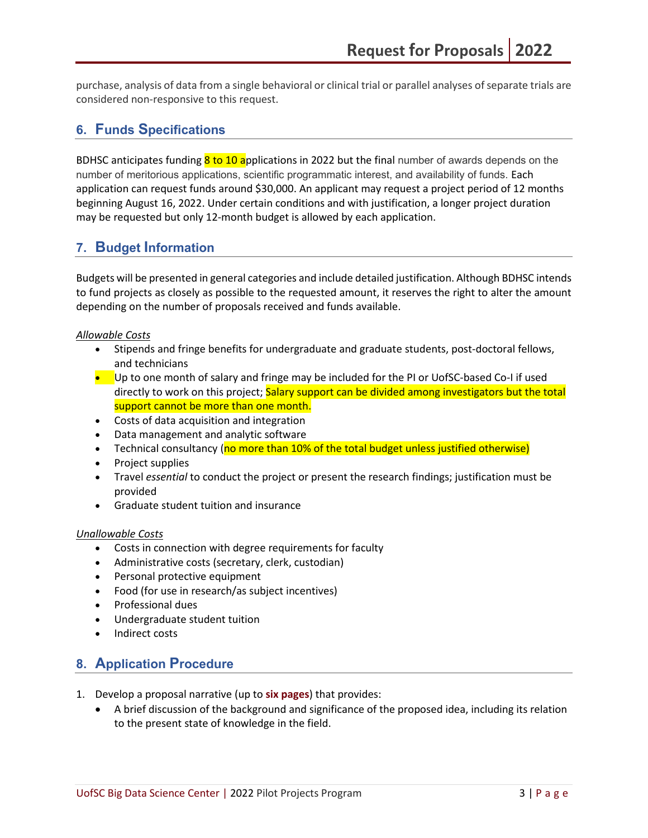purchase, analysis of data from a single behavioral or clinical trial or parallel analyses of separate trials are considered non-responsive to this request.

### **6. Funds Specifications**

BDHSC anticipates funding  $8$  to 10 applications in 2022 but the final number of awards depends on the number of meritorious applications, scientific programmatic interest, and availability of funds. Each application can request funds around \$30,000. An applicant may request a project period of 12 months beginning August 16, 2022. Under certain conditions and with justification, a longer project duration may be requested but only 12-month budget is allowed by each application.

### **7. Budget Information**

Budgets will be presented in general categories and include detailed justification. Although BDHSC intends to fund projects as closely as possible to the requested amount, it reserves the right to alter the amount depending on the number of proposals received and funds available.

#### *Allowable Costs*

- Stipends and fringe benefits for undergraduate and graduate students, post-doctoral fellows, and technicians
- Up to one month of salary and fringe may be included for the PI or UofSC-based Co-I if used directly to work on this project; Salary support can be divided among investigators but the total support cannot be more than one month.
- Costs of data acquisition and integration
- Data management and analytic software
- Technical consultancy (no more than 10% of the total budget unless justified otherwise)
- Project supplies
- Travel *essential* to conduct the project or present the research findings; justification must be provided
- Graduate student tuition and insurance

#### *Unallowable Costs*

- Costs in connection with degree requirements for faculty
- Administrative costs (secretary, clerk, custodian)
- Personal protective equipment
- Food (for use in research/as subject incentives)
- Professional dues
- Undergraduate student tuition
- Indirect costs

# **8. Application Procedure**

- 1. Develop a proposal narrative (up to **six pages**) that provides:
	- A brief discussion of the background and significance of the proposed idea, including its relation to the present state of knowledge in the field.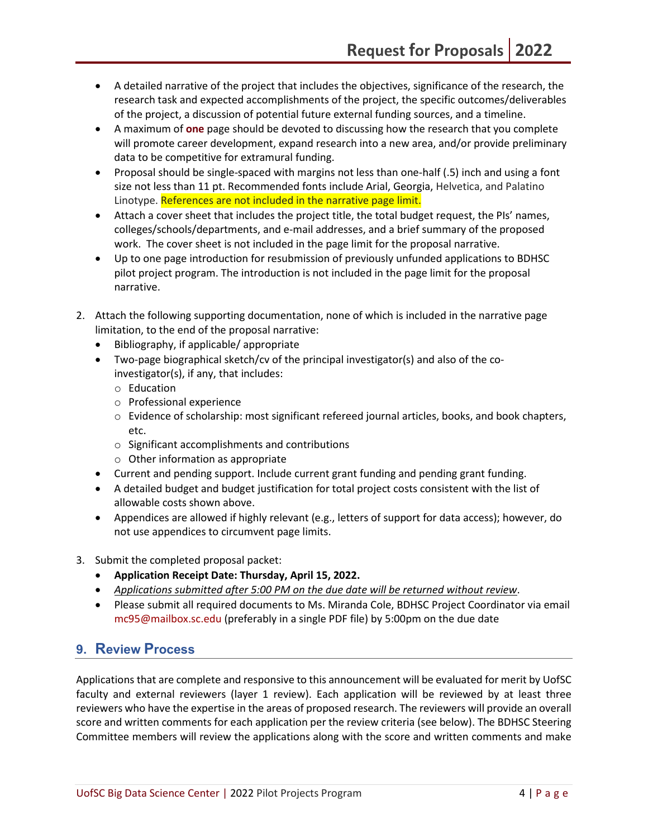- A detailed narrative of the project that includes the objectives, significance of the research, the research task and expected accomplishments of the project, the specific outcomes/deliverables of the project, a discussion of potential future external funding sources, and a timeline.
- A maximum of **one** page should be devoted to discussing how the research that you complete will promote career development, expand research into a new area, and/or provide preliminary data to be competitive for extramural funding.
- Proposal should be single-spaced with margins not less than one-half (.5) inch and using a font size not less than 11 pt. Recommended fonts include Arial, Georgia, Helvetica, and Palatino Linotype. References are not included in the narrative page limit.
- Attach a cover sheet that includes the project title, the total budget request, the PIs' names, colleges/schools/departments, and e-mail addresses, and a brief summary of the proposed work. The cover sheet is not included in the page limit for the proposal narrative.
- Up to one page introduction for resubmission of previously unfunded applications to BDHSC pilot project program. The introduction is not included in the page limit for the proposal narrative.
- 2. Attach the following supporting documentation, none of which is included in the narrative page limitation, to the end of the proposal narrative:
	- Bibliography, if applicable/ appropriate
	- Two-page biographical sketch/cv of the principal investigator(s) and also of the coinvestigator(s), if any, that includes:
		- o Education
		- o Professional experience
		- o Evidence of scholarship: most significant refereed journal articles, books, and book chapters, etc.
		- o Significant accomplishments and contributions
		- o Other information as appropriate
	- Current and pending support. Include current grant funding and pending grant funding.
	- A detailed budget and budget justification for total project costs consistent with the list of allowable costs shown above.
	- Appendices are allowed if highly relevant (e.g., letters of support for data access); however, do not use appendices to circumvent page limits.
- 3. Submit the completed proposal packet:
	- **Application Receipt Date: Thursday, April 15, 2022.**
	- *Applications submitted after 5:00 PM on the due date will be returned without review*.
	- Please submit all required documents to Ms. Miranda Cole, BDHSC Project Coordinator via email [mc95@mailbox.sc.edu](mailto:mc95@mailbox.sc.edu) (preferably in a single PDF file) by 5:00pm on the due date

# **9. Review Process**

Applications that are complete and responsive to this announcement will be evaluated for merit by UofSC faculty and external reviewers (layer 1 review). Each application will be reviewed by at least three reviewers who have the expertise in the areas of proposed research. The reviewers will provide an overall score and written comments for each application per the review criteria (see below). The BDHSC Steering Committee members will review the applications along with the score and written comments and make